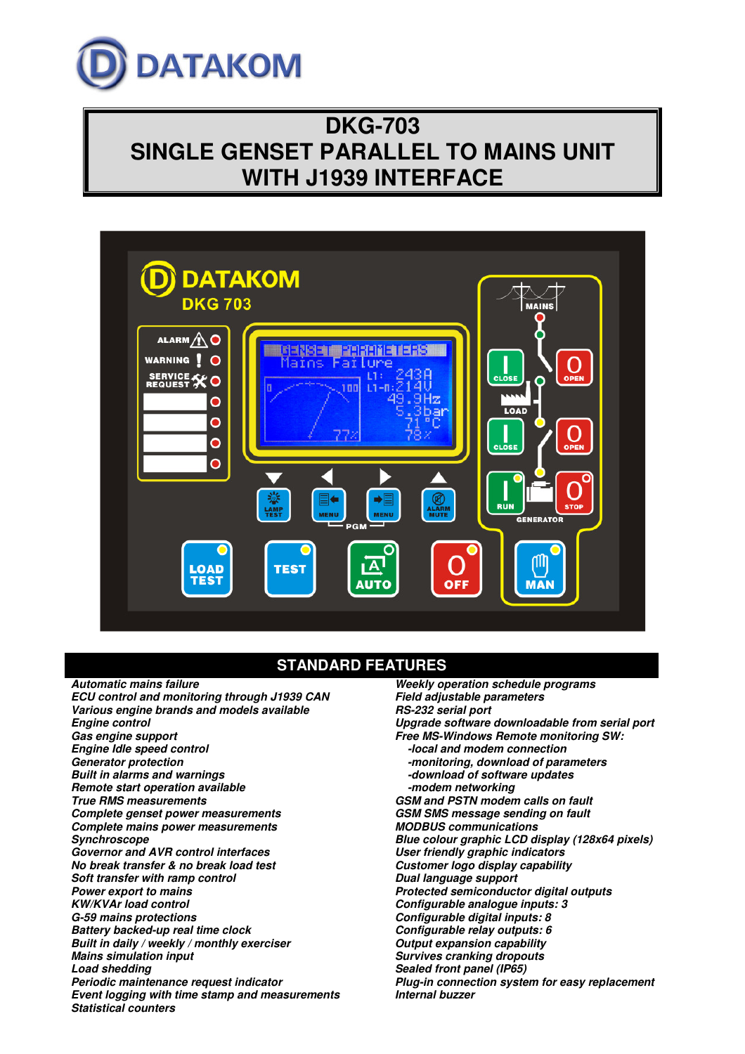

# **DKG-703 SINGLE GENSET PARALLEL TO MAINS UNIT WITH J1939 INTERFACE**



# **STANDARD FEATURES**

**Automatic mains failure ECU control and monitoring through J1939 CAN Various engine brands and models available Engine control Gas engine support Engine Idle speed control Generator protection Built in alarms and warnings Remote start operation available True RMS measurements Complete genset power measurements Complete mains power measurements Synchroscope Governor and AVR control interfaces No break transfer & no break load test Soft transfer with ramp control Power export to mains KW/KVAr load control G-59 mains protections Battery backed-up real time clock Built in daily / weekly / monthly exerciser Mains simulation input Load shedding Periodic maintenance request indicator Event logging with time stamp and measurements Statistical counters** 

**Weekly operation schedule programs Field adjustable parameters RS-232 serial port Upgrade software downloadable from serial port Free MS-Windows Remote monitoring SW: -local and modem connection -monitoring, download of parameters -download of software updates -modem networking GSM and PSTN modem calls on fault GSM SMS message sending on fault MODBUS communications Blue colour graphic LCD display (128x64 pixels) User friendly graphic indicators Customer logo display capability Dual language support Protected semiconductor digital outputs Configurable analogue inputs: 3 Configurable digital inputs: 8 Configurable relay outputs: 6 Output expansion capability Survives cranking dropouts Sealed front panel (IP65) Plug-in connection system for easy replacement Internal buzzer**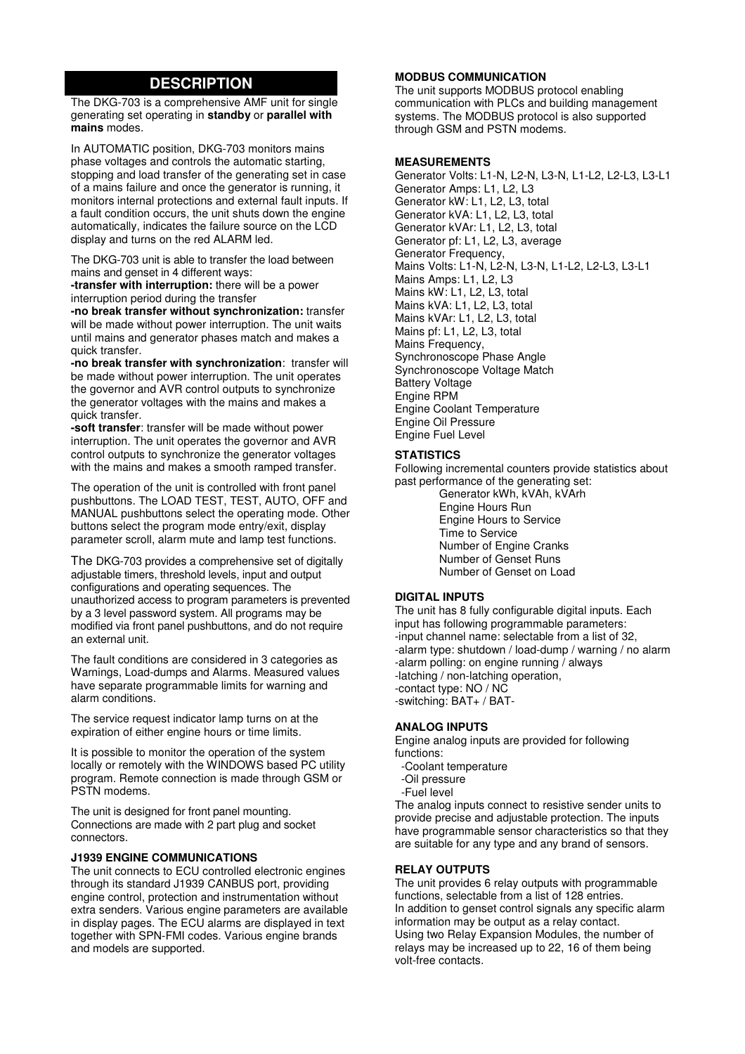## **DESCRIPTION**

The DKG-703 is a comprehensive AMF unit for single generating set operating in **standby** or **parallel with mains** modes.

In AUTOMATIC position, DKG-703 monitors mains phase voltages and controls the automatic starting, stopping and load transfer of the generating set in case of a mains failure and once the generator is running, it monitors internal protections and external fault inputs. If a fault condition occurs, the unit shuts down the engine automatically, indicates the failure source on the LCD display and turns on the red ALARM led.

The DKG-703 unit is able to transfer the load between mains and genset in 4 different ways:

**-transfer with interruption:** there will be a power interruption period during the transfer

**-no break transfer without synchronization:** transfer will be made without power interruption. The unit waits until mains and generator phases match and makes a quick transfer.

**-no break transfer with synchronization**: transfer will be made without power interruption. The unit operates the governor and AVR control outputs to synchronize the generator voltages with the mains and makes a quick transfer.

**-soft transfer**: transfer will be made without power interruption. The unit operates the governor and AVR control outputs to synchronize the generator voltages with the mains and makes a smooth ramped transfer.

The operation of the unit is controlled with front panel pushbuttons. The LOAD TEST, TEST, AUTO, OFF and MANUAL pushbuttons select the operating mode. Other buttons select the program mode entry/exit, display parameter scroll, alarm mute and lamp test functions.

The DKG-703 provides a comprehensive set of digitally adjustable timers, threshold levels, input and output configurations and operating sequences. The unauthorized access to program parameters is prevented by a 3 level password system. All programs may be modified via front panel pushbuttons, and do not require an external unit.

The fault conditions are considered in 3 categories as Warnings, Load-dumps and Alarms. Measured values have separate programmable limits for warning and alarm conditions.

The service request indicator lamp turns on at the expiration of either engine hours or time limits.

It is possible to monitor the operation of the system locally or remotely with the WINDOWS based PC utility program. Remote connection is made through GSM or PSTN modems.

The unit is designed for front panel mounting. Connections are made with 2 part plug and socket connectors.

#### **J1939 ENGINE COMMUNICATIONS**

The unit connects to ECU controlled electronic engines through its standard J1939 CANBUS port, providing engine control, protection and instrumentation without extra senders. Various engine parameters are available in display pages. The ECU alarms are displayed in text together with SPN-FMI codes. Various engine brands and models are supported.

#### **MODBUS COMMUNICATION**

The unit supports MODBUS protocol enabling communication with PLCs and building management systems. The MODBUS protocol is also supported through GSM and PSTN modems.

#### **MEASUREMENTS**

Generator Volts: L1-N, L2-N, L3-N, L1-L2, L2-L3, L3-L1 Generator Amps: L1, L2, L3 Generator kW: L1, L2, L3, total Generator kVA: L1, L2, L3, total Generator kVAr: L1, L2, L3, total Generator pf: L1, L2, L3, average Generator Frequency, Mains Volts: L1-N, L2-N, L3-N, L1-L2, L2-L3, L3-L1 Mains Amps: L1, L2, L3 Mains kW: L1, L2, L3, total Mains kVA: L1, L2, L3, total Mains kVAr: L1, L2, L3, total Mains pf: L1, L2, L3, total Mains Frequency, Synchronoscope Phase Angle Synchronoscope Voltage Match Battery Voltage Engine RPM Engine Coolant Temperature Engine Oil Pressure Engine Fuel Level

#### **STATISTICS**

Following incremental counters provide statistics about past performance of the generating set:

 Generator kWh, kVAh, kVArh Engine Hours Run Engine Hours to Service Time to Service Number of Engine Cranks Number of Genset Runs Number of Genset on Load

### **DIGITAL INPUTS**

The unit has 8 fully configurable digital inputs. Each input has following programmable parameters: -input channel name: selectable from a list of 32, -alarm type: shutdown / load-dump / warning / no alarm -alarm polling: on engine running / always -latching / non-latching operation, -contact type: NO / NC -switching: BAT+ / BAT-

#### **ANALOG INPUTS**

Engine analog inputs are provided for following functions:

- -Coolant temperature
- -Oil pressure
- -Fuel level

The analog inputs connect to resistive sender units to provide precise and adjustable protection. The inputs have programmable sensor characteristics so that they are suitable for any type and any brand of sensors.

#### **RELAY OUTPUTS**

The unit provides 6 relay outputs with programmable functions, selectable from a list of 128 entries. In addition to genset control signals any specific alarm information may be output as a relay contact. Using two Relay Expansion Modules, the number of relays may be increased up to 22, 16 of them being volt-free contacts.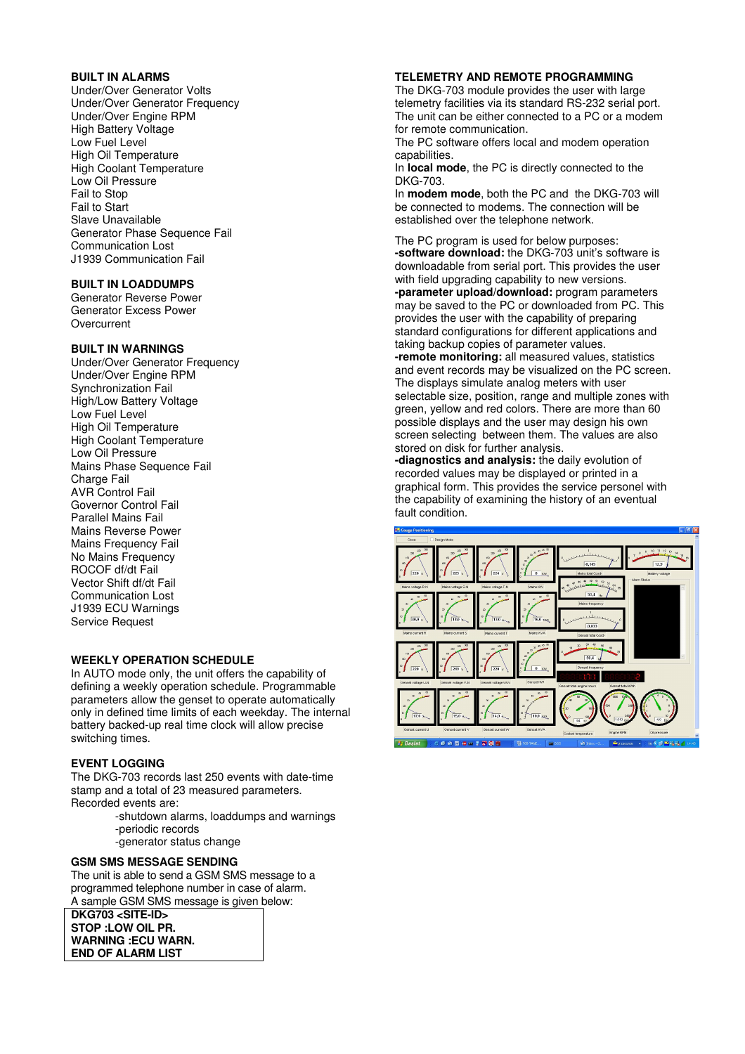#### **BUILT IN ALARMS**

Under/Over Generator Volts Under/Over Generator Frequency Under/Over Engine RPM High Battery Voltage Low Fuel Level High Oil Temperature High Coolant Temperature Low Oil Pressure Fail to Stop Fail to Start Slave Unavailable Generator Phase Sequence Fail Communication Lost J1939 Communication Fail

## **BUILT IN LOADDUMPS**

Generator Reverse Power Generator Excess Power **Overcurrent** 

### **BUILT IN WARNINGS**

Under/Over Generator Frequency Under/Over Engine RPM Synchronization Fail High/Low Battery Voltage Low Fuel Level High Oil Temperature High Coolant Temperature Low Oil Pressure Mains Phase Sequence Fail Charge Fail AVR Control Fail Governor Control Fail Parallel Mains Fail Mains Reverse Power Mains Frequency Fail No Mains Frequency ROCOF df/dt Fail Vector Shift df/dt Fail Communication Lost J1939 ECU Warnings Service Request

#### **WEEKLY OPERATION SCHEDULE**

In AUTO mode only, the unit offers the capability of defining a weekly operation schedule. Programmable parameters allow the genset to operate automatically only in defined time limits of each weekday. The internal battery backed-up real time clock will allow precise switching times.

#### **EVENT LOGGING**

The DKG-703 records last 250 events with date-time stamp and a total of 23 measured parameters. Recorded events are:

> -shutdown alarms, loaddumps and warnings -periodic records

-generator status change

## **GSM SMS MESSAGE SENDING**

The unit is able to send a GSM SMS message to a programmed telephone number in case of alarm. A sample GSM SMS message is given below:

**DKG703 <SITE-ID> STOP :LOW OIL PR. WARNING :ECU WARN. END OF ALARM LIST** 

#### **TELEMETRY AND REMOTE PROGRAMMING**

The DKG-703 module provides the user with large telemetry facilities via its standard RS-232 serial port. The unit can be either connected to a PC or a modem for remote communication.

The PC software offers local and modem operation capabilities.

In **local mode**, the PC is directly connected to the DKG-703.

In **modem mode**, both the PC and the DKG-703 will be connected to modems. The connection will be established over the telephone network.

The PC program is used for below purposes: **-software download:** the DKG-703 unit's software is downloadable from serial port. This provides the user with field upgrading capability to new versions. **-parameter upload/download:** program parameters may be saved to the PC or downloaded from PC. This provides the user with the capability of preparing standard configurations for different applications and taking backup copies of parameter values. **-remote monitoring:** all measured values, statistics

and event records may be visualized on the PC screen. The displays simulate analog meters with user selectable size, position, range and multiple zones with green, yellow and red colors. There are more than 60 possible displays and the user may design his own screen selecting between them. The values are also stored on disk for further analysis.

**-diagnostics and analysis:** the daily evolution of recorded values may be displayed or printed in a graphical form. This provides the service personel with the capability of examining the history of an eventual fault condition.